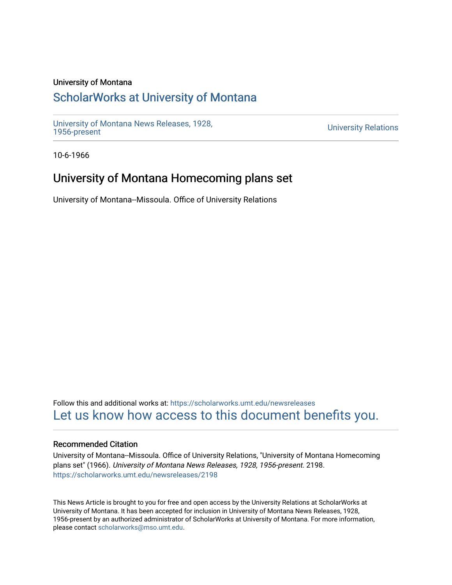## University of Montana

# [ScholarWorks at University of Montana](https://scholarworks.umt.edu/)

[University of Montana News Releases, 1928,](https://scholarworks.umt.edu/newsreleases) 

**University Relations** 

10-6-1966

# University of Montana Homecoming plans set

University of Montana--Missoula. Office of University Relations

Follow this and additional works at: [https://scholarworks.umt.edu/newsreleases](https://scholarworks.umt.edu/newsreleases?utm_source=scholarworks.umt.edu%2Fnewsreleases%2F2198&utm_medium=PDF&utm_campaign=PDFCoverPages) [Let us know how access to this document benefits you.](https://goo.gl/forms/s2rGfXOLzz71qgsB2) 

### Recommended Citation

University of Montana--Missoula. Office of University Relations, "University of Montana Homecoming plans set" (1966). University of Montana News Releases, 1928, 1956-present. 2198. [https://scholarworks.umt.edu/newsreleases/2198](https://scholarworks.umt.edu/newsreleases/2198?utm_source=scholarworks.umt.edu%2Fnewsreleases%2F2198&utm_medium=PDF&utm_campaign=PDFCoverPages) 

This News Article is brought to you for free and open access by the University Relations at ScholarWorks at University of Montana. It has been accepted for inclusion in University of Montana News Releases, 1928, 1956-present by an authorized administrator of ScholarWorks at University of Montana. For more information, please contact [scholarworks@mso.umt.edu.](mailto:scholarworks@mso.umt.edu)